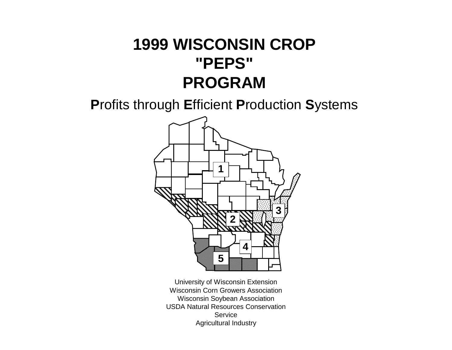**P**rofits through **E**fficient **P**roduction **S**ystems



University of Wisconsin Extension Wisconsin Corn Growers Association Wisconsin Soybean Association USDA Natural Resources Conservation **Service** Agricultural Industry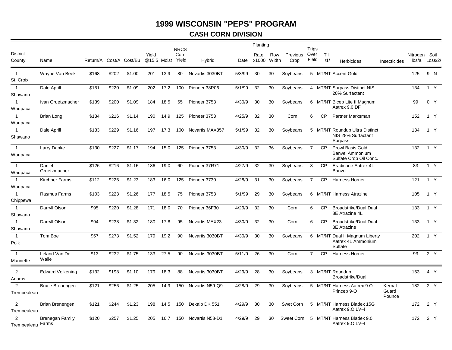# **CASH CORN DIVISION**

|                                     |                         |          |       |                |       |             | <b>NRCS</b>   |                 |        | Planting           |              |                  | Trips          |             |                                                                             |                           |               |                  |
|-------------------------------------|-------------------------|----------|-------|----------------|-------|-------------|---------------|-----------------|--------|--------------------|--------------|------------------|----------------|-------------|-----------------------------------------------------------------------------|---------------------------|---------------|------------------|
| <b>District</b><br>County           | Name                    | Return/A |       | Cost/A Cost/Bu | Yield | @15.5 Moist | Corn<br>Yield | Hybrid          |        | Rate<br>Date x1000 | Row<br>Width | Previous<br>Crop | Over<br>Field  | Till<br>/1/ | <b>Herbicides</b>                                                           | Insecticides              | Nitrogen Soil | lbs/a Loss/2/    |
| $\mathbf{1}$<br>St. Croix           | Wayne Van Beek          | \$168    | \$202 | \$1.00         | 201   | 13.9        | 80            | Novartis 3030BT | 5/3/99 | 30                 | 30           | Soybeans         |                |             | 5 MT/NT Accent Gold                                                         |                           | 125           | 9 N              |
| $\mathbf{1}$<br>Shawano             | Dale Aprill             | \$151    | \$220 | \$1.09         | 202   | 17.2        | 100           | Pioneer 38P06   | 5/1/99 | 32                 | 30           | Soybeans         |                |             | 4 MT/NT Surpass Distinct NIS<br>28% Surfactant                              |                           | 134           | 1 Y              |
| $\mathbf{1}$<br>Waupaca             | Ivan Gruetzmacher       | \$139    | \$200 | \$1.09         | 184   | 18.5        | 65            | Pioneer 3753    | 4/30/9 | 30                 | 30           | Soybeans         |                |             | 6 MT/NT Bicep Lite II Magnum<br>Aatrex 9.0 DF                               |                           | 99            | 0 Y              |
| $\overline{1}$<br>Waupaca           | Brian Long              | \$134    | \$216 | \$1.14         | 190   | 14.9        | 125           | Pioneer 3753    | 4/25/9 | 32                 | 30           | Corn             | 6              | <b>CP</b>   | Partner Marksman                                                            |                           | 152           | 1 Y              |
| $\mathbf{1}$<br>Shawano             | Dale Aprill             | \$133    | \$229 | \$1.16         | 197   | 17.3        | 100           | Novartis MAX357 | 5/1/99 | 32                 | 30           | Soybeans         |                |             | 5 MT/NT Roundup Ultra Distinct<br>NIS 28% Surfactant<br>Surpass             |                           | 134           | 1 Y              |
| $\mathbf{1}$<br>Waupaca             | Larry Danke             | \$130    | \$227 | \$1.17         | 194   | 15.0        | 125           | Pioneer 3753    | 4/30/9 | 32                 | 36           | Soybeans         | $\overline{7}$ | <b>CP</b>   | <b>Prowl Basis Gold</b><br><b>Banvel Ammonium</b><br>Sulfate Crop Oil Conc. |                           | 132           | 1 Y              |
| $\overline{1}$<br>Waupaca           | Daniel<br>Gruetzmacher  | \$126    | \$216 | \$1.16         | 186   | 19.0        | 60            | Pioneer 37R71   | 4/27/9 | 32                 | 30           | Soybeans         | 8              | <b>CP</b>   | Eradicane Aatrex 4L<br>Banvel                                               |                           | 83            | $1 \overline{Y}$ |
| $\mathbf{1}$<br>Waupaca             | <b>Kirchner Farms</b>   | \$112    | \$225 | \$1.23         | 183   | 16.0        | 125           | Pioneer 3730    | 4/28/9 | 31                 | 30           | Soybeans         | $\overline{7}$ | <b>CP</b>   | <b>Harness Hornet</b>                                                       |                           | 121           | 1 Y              |
| $\mathbf{1}$<br>Chippewa            | Rasmus Farms            | \$103    | \$223 | \$1.26         | 177   | 18.5        | 75            | Pioneer 3753    | 5/1/99 | 29                 | 30           | Soybeans         |                |             | 6 MT/NT Harness Atrazine                                                    |                           | 105           | 1 Y              |
| $\mathbf{1}$<br>Shawano             | Darryll Olson           | \$95     | \$220 | \$1.28         | 171   | 18.0        | 70            | Pioneer 36F30   | 4/29/9 | 32                 | 30           | Corn             | 6              | <b>CP</b>   | Broadstrike/Dual Dual<br>8E Atrazine 4L                                     |                           | 133           | 1 Y              |
| $\mathbf{1}$<br>Shawano             | Darryll Olson           | \$94     | \$238 | \$1.32         | 180   | 17.8        | 95            | Novartis MAX23  | 4/30/9 | 32                 | 30           | Corn             | 6              | <b>CP</b>   | Broadstrike/Dual Dual<br>8E Atrazine                                        |                           | 133           | 1 Y              |
| $\mathbf{1}$<br>Polk                | Tom Boe                 | \$57     | \$273 | \$1.52         | 179   | 19.2        | 90            | Novartis 3030BT | 4/30/9 | 30                 | 30           | Soybeans         |                |             | 6 MT/NT Dual II Magnum Liberty<br>Aatrex 4L Ammonium<br>Sulfate             |                           | 202           | 1 Y              |
| $\overline{1}$<br>Marinette         | Leland Van De<br>Walle  | \$13     | \$232 | \$1.75         | 133   | 27.5        | 90            | Novartis 3030BT | 5/11/9 | 26                 | 30           | Corn             | $\overline{7}$ | <b>CP</b>   | <b>Harness Hornet</b>                                                       |                           | 93            | $2\overline{Y}$  |
| 2<br>Adams                          | <b>Edward Volkening</b> | \$132    | \$198 | \$1.10         | 179   | 18.3        | 88            | Novartis 3030BT | 4/29/9 | 28                 | 30           | Soybeans         |                |             | 3 MT/NT Roundup<br>Broadstrike/Dual                                         |                           | 153           | 4 Y              |
| 2<br>Trempealeau                    | Bruce Brenengen         | \$121    | \$256 | \$1.25         | 205   | 14.9        | 150           | Novartis N59-Q9 | 4/28/9 | 29                 | 30           | Soybeans         |                |             | 5 MT/NT Harness Aatrex 9.0<br>Princep 9-O                                   | Kernal<br>Guard<br>Pounce | 182           | 2Y               |
| $\overline{2}$<br>Trempealeau       | Brian Brenengen         | \$121    | \$244 | \$1.23         | 198   | 14.5        | 150           | Dekalb DK 551   | 4/29/9 | 30                 | 30           | Swet Corn        |                |             | 5 MT/NT Harness Bladex 15G<br>Aatrex 9.0 LV-4                               |                           | 172           | 2 Y              |
| $\mathfrak{p}$<br>Trempealeau Farms | Brenegan Family         | \$120    | \$257 | \$1.25         | 205   | 16.7        | 150           | Novartis N58-D1 | 4/29/9 | 29                 | 30           | Sweet Corn       |                |             | 5 MT/NT Harness Bladex 9.0<br>Aatrex 9.O LV-4                               |                           | 172           | 2 Y              |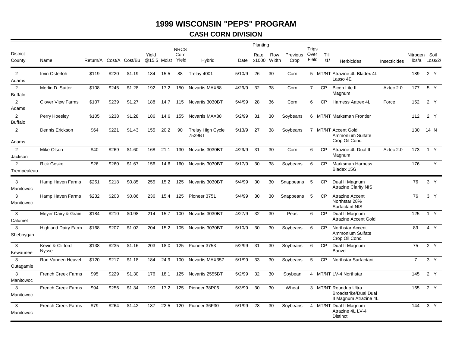## **CASH CORN DIVISION**

|                                  |                                  |       |       |                         |       |             | <b>NRCS</b>   |                                    |        | Planting                 |     |                  | Trips          |             |                                                                                |              |                |                |
|----------------------------------|----------------------------------|-------|-------|-------------------------|-------|-------------|---------------|------------------------------------|--------|--------------------------|-----|------------------|----------------|-------------|--------------------------------------------------------------------------------|--------------|----------------|----------------|
| <b>District</b><br>County        | Name                             |       |       | Return/A Cost/A Cost/Bu | Yield | @15.5 Moist | Corn<br>Yield | Hybrid                             |        | Rate<br>Date x1000 Width | Row | Previous<br>Crop | Over<br>Field  | Till<br>/1/ | <b>Herbicides</b>                                                              | Insecticides | Nitrogen Soil  | lbs/a Loss/2/  |
| 2<br>Adams                       | Irvin Osterloh                   | \$119 | \$220 | \$1.19                  | 184   | 15.5        | 88            | Trelav 4001                        | 5/10/9 | 26                       | 30  | Corn             |                |             | 5 MT/NT Atrazine 4L Bladex 4L<br>Lasso 4E                                      |              | 189            | 2 Y            |
| $\overline{2}$<br><b>Buffalo</b> | Merlin D. Sutter                 | \$108 | \$245 | \$1.28                  | 192   | 17.2        | 150           | <b>Novartis MAX88</b>              | 4/29/9 | 32                       | 38  | Corn             | $\overline{7}$ | <b>CP</b>   | <b>Bicep Lite II</b><br>Magnum                                                 | Aztec 2.0    | 177            | 5 Y            |
| $\overline{2}$<br>Adams          | <b>Clover View Farms</b>         | \$107 | \$239 | \$1.27                  | 188   | 14.7        | 115           | Novartis 3030BT                    | 5/4/99 | 28                       | 36  | Corn             | 6              | <b>CP</b>   | Harness Aatrex 4L                                                              | Force        | 152            | 2 Y            |
| $\overline{2}$<br><b>Buffalo</b> | Perry Hoesley                    | \$105 | \$238 | \$1.28                  | 186   | 14.6        | 155           | Novartis MAX88                     | 5/2/99 | 31                       | 30  | Soybeans         |                |             | 6 MT/NT Marksman Frontier                                                      |              | 112            | 2 Y            |
| $\overline{2}$<br>Adams          | Dennis Erickson                  | \$64  | \$221 | \$1.43                  | 155   | 20.2        | 90            | <b>Trelay High Cycle</b><br>7529BT | 5/13/9 | 27                       | 38  | Soybeans         |                |             | 7 MT/NT Accent Gold<br>Ammonium Sulfate<br>Crop Oil Conc.                      |              | 130            | 14 N           |
| $\overline{2}$<br>Jackson        | Mike Olson                       | \$40  | \$269 | \$1.60                  | 168   | 21.1        | 130           | Novartis 3030BT                    | 4/29/9 | 31                       | 30  | Corn             | 6              | <b>CP</b>   | Atrazine 4L Dual II<br>Magnum                                                  | Aztec 2.0    | 173            | 1 Y            |
| 2<br>Trempealeau                 | <b>Rick Geske</b>                | \$26  | \$260 | \$1.67                  | 156   | 14.6        | 160           | Novartis 3030BT                    | 5/17/9 | 30                       | 38  | Soybeans         | 6              | <b>CP</b>   | <b>Marksman Harness</b><br>Bladex 15G                                          |              | 176            | Y              |
| 3<br>Manitowoc                   | Hamp Haven Farms                 | \$251 | \$218 | \$0.85                  | 255   | 15.2        | 125           | Novartis 3030BT                    | 5/4/99 | 30                       | 30  | Snapbeans 5      |                | <b>CP</b>   | Dual II Magnum<br><b>Atrazine Clarity NIS</b>                                  |              | 76             | 3 <sup>Y</sup> |
| 3<br>Manitowoc                   | Hamp Haven Farms                 | \$232 | \$203 | \$0.86                  | 236   | 15.4        | 125           | Pioneer 3751                       | 5/4/99 | 30                       | 30  | Snapbeans        | 5              | <b>CP</b>   | <b>Atrazine Accent</b><br>Northstar 28%<br><b>Surfactant NIS</b>               |              | 76             | 3 <sup>Y</sup> |
| 3<br>Calumet                     | Meyer Dairy & Grain              | \$184 | \$210 | \$0.98                  | 214   | 15.7        | 100           | Novartis 3030BT                    | 4/27/9 | 32                       | 30  | Peas             | 6              | CP          | Dual II Magnum<br><b>Atrazine Accent Gold</b>                                  |              | 125            | 1 Y            |
| 3<br>Sheboygan                   | <b>Highland Dairy Farm</b>       | \$168 | \$207 | \$1.02                  | 204   | 15.2        | 105           | Novartis 3030BT                    | 5/10/9 | 30                       | 30  | Soybeans         | 6              | <b>CP</b>   | Northstar Accent<br>Ammonium Sulfate<br>Crop Oil Conc.                         |              | 89             | 4 Y            |
| 3<br>Kewaunee                    | Kevin & Clifford<br><b>Nysse</b> | \$138 | \$235 | \$1.16                  | 203   | 18.0        | 125           | Pioneer 3753                       | 5/2/99 | 31                       | 30  | Soybeans         | 6              | <b>CP</b>   | Dual II Magnum<br>Banvel                                                       |              | 75             | 2 Y            |
| 3<br>Outagamie                   | Ron Vanden Heuvel                | \$120 | \$217 | \$1.18                  | 184   | 24.9        | 100           | Novartis MAX357                    | 5/1/99 | 33                       | 30  | Soybeans         | 5              | <b>CP</b>   | Northstar Surfactant                                                           |              | $\overline{7}$ | $3\sqrt{ }$    |
| 3<br>Manitowoc                   | <b>French Creek Farms</b>        | \$95  | \$229 | \$1.30                  | 176   | 18.1        | 125           | Novartis 2555BT                    | 5/2/99 | 32                       | 30  | Soybean          |                |             | 4 MT/NT LV-4 Northstar                                                         |              | 145            | 2 Y            |
| 3<br>Manitowoc                   | <b>French Creek Farms</b>        | \$94  | \$256 | \$1.34                  | 190   | 17.2        | 125           | Pioneer 38P06                      | 5/3/99 | 30                       | 30  | Wheat            |                |             | 3 MT/NT Roundup Ultra<br><b>Broadstrike/Dual Dual</b><br>II Magnum Atrazine 4L |              | 165            | 2Y             |
| 3<br>Manitowoc                   | <b>French Creek Farms</b>        | \$79  | \$264 | \$1.42                  | 187   | 22.5        | 120           | Pioneer 36F30                      | 5/1/99 | 28                       | 30  | Soybeans         |                |             | 4 MT/NT Dual II Magnum<br>Atrazine 4L LV-4<br><b>Distinct</b>                  |              | 144            | 3 <sup>Y</sup> |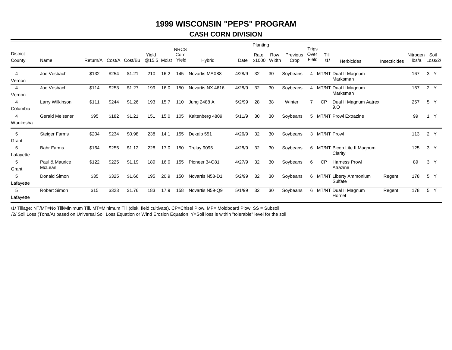## **CASH CORN DIVISION**

|                            |                          |          |       |                |                      |      | <b>NRCS</b>   |                  |        | Planting      |              |                  | <b>Trips</b>   |             |                                         |              |                        |                |
|----------------------------|--------------------------|----------|-------|----------------|----------------------|------|---------------|------------------|--------|---------------|--------------|------------------|----------------|-------------|-----------------------------------------|--------------|------------------------|----------------|
| <b>District</b><br>County  | Name                     | Return/A |       | Cost/A Cost/Bu | Yield<br>@15.5 Moist |      | Corn<br>Yield | Hybrid           | Date   | Rate<br>x1000 | Row<br>Width | Previous<br>Crop | Over<br>Field  | Till<br>/1/ | <b>Herbicides</b>                       | Insecticides | Nitrogen Soil<br>lbs/a | Loss/2/        |
| $\overline{4}$<br>Vernon   | Joe Vesbach              | \$132    | \$254 | \$1.21         | 210                  | 16.2 | 145           | Novartis MAX88   | 4/28/9 | 32            | 30           | Soybeans         | 4              |             | MT/NT Dual II Magnum<br>Marksman        |              | 167                    | 3 <sup>Y</sup> |
| 4<br>Vernon                | Joe Vesbach              | \$114    | \$253 | \$1.27         | 199                  | 16.0 | 150           | Novartis NX 4616 | 4/28/9 | 32            | 30           | Soybeans         |                |             | 4 MT/NT Dual II Magnum<br>Marksman      |              | 167                    | 2 Y            |
| 4<br>Columbia              | Larry Wilkinson          | \$111    | \$244 | \$1.26         | 193                  | 15.7 | 110           | Jung 2488 A      | 5/2/99 | 28            | 38           | Winter           | $\overline{7}$ | CP          | Dual II Magnum Aatrex<br>9.0            |              | 257                    | 5 Y            |
| $\overline{4}$<br>Waukesha | Gerald Meissner          | \$95     | \$182 | \$1.21         | 151                  | 15.0 | 105           | Kaltenberg 4809  | 5/11/9 | 30            | 30           | Soybeans         |                |             | 5 MT/NT Prowl Extrazine                 |              | 99                     | Y              |
| 5<br>Grant                 | <b>Steiger Farms</b>     | \$204    | \$234 | \$0.98         | 238                  | 14.1 | 155           | Dekalb 551       | 4/26/9 | 32            | 30           | Soybeans         |                |             | 3 MT/NT Prowl                           |              | 113                    | 2 Y            |
| 5<br>Lafayette             | <b>Bahr Farms</b>        | \$164    | \$255 | \$1.12         | 228                  | 17.0 | 150           | Trelay 9095      | 4/28/9 | 32            | 30           | Soybeans         |                |             | 6 MT/NT Bicep Lite II Magnum<br>Clarity |              | 125                    | 3 Y            |
| 5<br>Grant                 | Paul & Maurice<br>McLean | \$122    | \$225 | \$1.19         | 189                  | 16.0 | 155           | Pioneer 34G81    | 4/27/9 | 32            | 30           | Soybeans         | 6              | CP          | <b>Harness Prowl</b><br>Atrazine        |              | 89                     | 3 <sup>Y</sup> |
| 5<br>Lafayette             | Donald Simon             | \$35     | \$325 | \$1.66         | 195                  | 20.9 | 150           | Novartis N58-D1  | 5/2/99 | 32            | 30           | Soybeans         |                |             | 6 MT/NT Liberty Ammonium<br>Sulfate     | Regent       | 178                    | 5 Y            |
| 5<br>Lafayette             | Robert Simon             | \$15     | \$323 | \$1.76         | 183                  | 17.9 | 158           | Novartis N59-Q9  | 5/1/99 | 32            | 30           | Soybeans         |                |             | 6 MT/NT Dual II Magnum<br>Hornet        | Regent       | 178                    | 5 Y            |

/1/ Tillage: NT/MT=No Till/Minimum Till, MT=Minimum Till (disk, field cultivate), CP=Chisel Plow, MP= Moldboard Plow, SS = Subsoil

/2/ Soil Loss (Tons/A) based on Universal Soil Loss Equation or Wind Erosion Equation Y=Soil loss is within "tolerable" level for the soil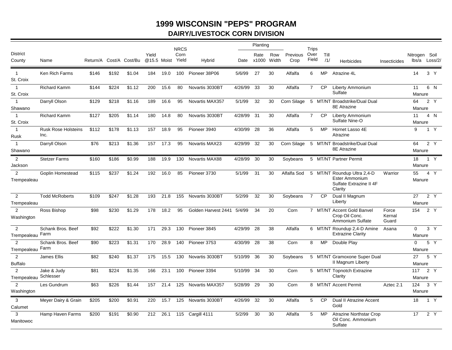# **1999 WISCONSIN "PEPS" PROGRAM DAIRY/LIVESTOCK CORN DIVISION**

|                                    |                                    |                         |       |        |                      |          | <b>NRCS</b>   |                     |            | Planting           |              |                  | Trips          |             |                                                                                            |                          |                       |                  |
|------------------------------------|------------------------------------|-------------------------|-------|--------|----------------------|----------|---------------|---------------------|------------|--------------------|--------------|------------------|----------------|-------------|--------------------------------------------------------------------------------------------|--------------------------|-----------------------|------------------|
| <b>District</b><br>County          | Name                               | Return/A Cost/A Cost/Bu |       |        | Yield<br>@15.5 Moist |          | Corn<br>Yield | Hybrid              |            | Rate<br>Date x1000 | Row<br>Width | Previous<br>Crop | Over<br>Field  | Till<br>/1/ | <b>Herbicides</b>                                                                          | Insecticides             | Nitrogen Soil         | lbs/a Loss/2/    |
| $\overline{1}$<br>St. Croix        | Ken Rich Farms                     | \$146                   | \$192 | \$1.04 | 184                  | 19.0     |               | 100 Pioneer 38P06   | 5/6/99     | 27                 | 30           | Alfalfa          | 6              | MP.         | Atrazine 4L                                                                                |                          | 14                    | 3 Y              |
| $\mathbf{1}$<br>St. Croix          | <b>Richard Kamm</b>                | \$144                   | \$224 | \$1.12 | 200                  | 15.6     | 80            | Novartis 3030BT     | 4/26/99    | 33                 | 30           | Alfalfa          | $\overline{7}$ | <b>CP</b>   | <b>Liberty Ammonium</b><br>Sulfate                                                         |                          | 11<br>Manure          | 6 N              |
| $\mathbf{1}$<br>Shawano            | Darryll Olson                      | \$129                   | \$218 | \$1.16 | 189                  | 16.6     | 95            | Novartis MAX357     | 5/1/99     | 32                 | 30           | Corn Silage      |                |             | 5 MT/NT Broadstrike/Dual Dual<br>8E Atrazine                                               |                          | 64<br>Manure          | 2 Y              |
| $\mathbf{1}$<br>St. Croix          | <b>Richard Kamm</b>                | \$127                   | \$205 | \$1.14 | 180                  | 14.8     | 80            | Novartis 3030BT     | 4/28/99 31 |                    | 30           | Alfalfa          | $7^{\circ}$    | CP          | <b>Liberty Ammonium</b><br>Sulfate Nine-O                                                  |                          | 11<br>Manure          | 4 N              |
| $\mathbf{1}$<br>Rusk               | <b>Rusk Rose Holsteins</b><br>Inc. | \$112                   | \$178 | \$1.13 | 157                  | 18.9     | 95            | Pioneer 3940        | 4/30/99    | 28                 | 36           | Alfalfa          | 5              | MP          | Hornet Lasso 4E<br>Atrazine                                                                |                          | 9                     | 1 Y              |
| $\mathbf{1}$<br>Shawano            | Darryll Olson                      | \$76                    | \$213 | \$1.36 | 157                  | 17.3     | 95            | Novartis MAX23      | 4/29/99    | 32                 | 30           | Corn Silage      |                |             | 5 MT/NT Broadstrike/Dual Dual<br>8E Atrazine                                               |                          | 64<br>Manure          | 2 $\overline{Y}$ |
| 2<br>Jackson                       | <b>Stetzer Farms</b>               | \$160                   | \$186 | \$0.99 | 188                  | 19.9     | 130           | Novartis MAX88      | 4/28/99 30 |                    | 30           | Sovbeans         |                |             | 5 MT/NT Partner Permit                                                                     |                          | 18<br>Manure          | $1 \overline{Y}$ |
| 2<br>Trempealeau                   | Goplin Homestead                   | \$115                   | \$237 | \$1.24 |                      | 192 16.0 | 85            | Pioneer 3730        | 5/1/99     | 31                 | 30           | Alfalfa Sod      |                |             | 5 MT/NT Roundup Ultra 2,4-D<br><b>Ester Ammonium</b><br>Sulfate Extrazine II 4F<br>Clarity | Warrior                  | 55<br>Manure          | 4 Y              |
| 2<br>Trempealeau                   | <b>Todd McRoberts</b>              | \$109                   | \$247 | \$1.28 | 193                  | 21.8     | 155           | Novartis 3030BT     | 5/2/99     | 32                 | 30           | Soybeans         | $\overline{7}$ | CP.         | Dual II Magnum<br>Liberty                                                                  |                          | 27<br>Manure          | 2 Y              |
| 2<br>Washington                    | Ross Bishop                        | \$98                    | \$230 | \$1.29 | 178                  | 18.2     | 95            | Golden Harvest 2441 | 5/4/99     | 34                 | 20           | Corn             |                |             | 7 MT/NT Accent Gold Banvel<br>Crop Oil Conc.<br>Ammonium Sulfate                           | Force<br>Kernal<br>Guard | 154                   | 2 Y              |
| $\overline{2}$<br>Trempealeau Farm | Schank Bros, Beef                  | \$92                    | \$222 | \$1.30 | 171                  | 29.3     | 130           | Pioneer 3845        | 4/29/99    | 28                 | 38           | Alfalfa          |                |             | 6 MT/NT Roundup 2,4-D Amine<br><b>Extrazine Clarity</b>                                    | Asana                    | $\mathbf 0$<br>Manure | 3Y               |
| 2<br>Trempealeau Farm              | Schank Bros, Beef                  | \$90                    | \$223 | \$1.31 | 170                  | 28.9     | 140           | Pioneer 3753        | 4/30/99    | 28                 | 38           | Corn             | 8              | <b>MP</b>   | Double Play                                                                                |                          | $\Omega$<br>Manure    | 5 Y              |
| 2<br><b>Buffalo</b>                | James Ellis                        | \$82                    | \$240 | \$1.37 | 175                  | 15.5     | 130           | Novartis 3030BT     | 5/10/99    | 36                 | 30           | Soybeans         |                |             | 5 MT/NT Gramoxone Super Dual<br>II Magnum Liberty                                          |                          | 27<br>Manure          | 5 Y              |
| $\overline{2}$<br>Trempealeau      | Jake & Judy<br>Schlesser           | \$81                    | \$224 | \$1.35 | 166                  | 23.1     | 100           | Pioneer 3394        | 5/10/99    | 34                 | 30           | Corn             |                |             | 5 MT/NT Topnotch Extrazine<br>Clarity                                                      |                          | 117<br>Manure         | 2 Y              |
| 2<br>Washington                    | Les Gundrum                        | \$63                    | \$226 | \$1.44 | 157                  | 21.4     | 125           | Novartis MAX357     | 5/28/99    | 29                 | 30           | Corn             |                |             | 8 MT/NT Accent Permit                                                                      | Aztec 2.1                | 124<br>Manure         | 3 Y              |
| $\mathbf{3}$<br>Calumet            | Meyer Dairy & Grain                | \$205                   | \$200 | \$0.91 | 220                  | 15.7     | 125           | Novartis 3030BT     | 4/26/99 32 |                    | 30           | Alfalfa          | 5              | <b>CP</b>   | Dual II Atrazine Accent<br>Gold                                                            |                          | 18                    | 1 Y              |
| 3<br>Manitowoc                     | Hamp Haven Farms                   | \$200                   | \$191 | \$0.90 | 212                  | 26.1     |               | 115 Cargill 4111    | 5/2/99     | 30                 | 30           | Alfalfa          | 5              | MP          | <b>Atrazine Northstar Crop</b><br>Oil Conc. Ammonium<br>Sulfate                            |                          | 17                    | 2 Y              |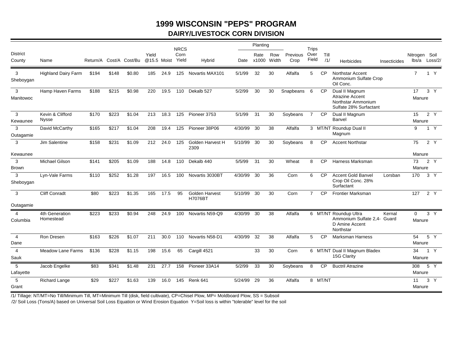# **1999 WISCONSIN "PEPS" PROGRAM DAIRY/LIVESTOCK CORN DIVISION**

|                        |                                  |       |       |                         |                      |      | <b>NRCS</b>   |                                         |            | Planting           |              |                  | <b>Trips</b>   |             |                                                                                          |              |                        |                   |  |
|------------------------|----------------------------------|-------|-------|-------------------------|----------------------|------|---------------|-----------------------------------------|------------|--------------------|--------------|------------------|----------------|-------------|------------------------------------------------------------------------------------------|--------------|------------------------|-------------------|--|
| District<br>County     | Name                             |       |       | Return/A Cost/A Cost/Bu | Yield<br>@15.5 Moist |      | Corn<br>Yield | Hybrid                                  |            | Rate<br>Date x1000 | Row<br>Width | Previous<br>Crop | Over<br>Field  | Till<br>/1/ | <b>Herbicides</b>                                                                        | Insecticides | Nitrogen Soil          | lbs/a Loss/2/     |  |
| 3<br>Sheboygan         | <b>Highland Dairy Farm</b>       | \$194 | \$148 | \$0.80                  | 185                  | 24.9 |               | 125 Novartis MAX101                     | 5/1/99     | 32                 | 30           | Alfalfa          | 5              | <b>CP</b>   | <b>Northstar Accent</b><br>Ammonium Sulfate Crop<br>Oil Conc.                            |              | $7^{\circ}$            | 1 Y               |  |
| 3<br>Manitowoc         | Hamp Haven Farms                 | \$188 | \$215 | \$0.98                  | 220                  | 19.5 | 110           | Dekalb 527                              | 5/2/99     | 30                 | 30           | Snapbeans        | 6              | <b>CP</b>   | Dual II Magnum<br><b>Atrazine Accent</b><br>Northstar Ammonium<br>Sulfate 28% Surfactant |              | 17<br>Manure           | 3 <sup>Y</sup>    |  |
| 3<br>Kewaunee          | Kevin & Clifford<br><b>Nysse</b> | \$170 | \$223 | \$1.04                  | 213                  | 18.3 | 125           | Pioneer 3753                            | 5/1/99     | 31                 | 30           | Soybeans         | $\overline{7}$ | CP.         | Dual II Magnum<br>Banvel                                                                 |              | 15<br>Manure           | 2Y                |  |
| 3<br>Outagamie         | David McCarthy                   | \$165 | \$217 | \$1.04                  | 208                  | 19.4 | 125           | Pioneer 38P06                           | 4/30/99    | 30                 | 38           | Alfalfa          |                |             | 3 MT/NT Roundup Dual II<br>Magnum                                                        |              | 9                      | 1 Y               |  |
| 3                      | Jim Salentine                    | \$158 | \$231 | \$1.09                  | 212                  | 24.0 | 125           | Golden Harvest H<br>2309                | 5/10/99    | 30                 | 30           | Soybeans         | 8              | <b>CP</b>   | <b>Accent Northstar</b>                                                                  |              | 75                     | 2 Y               |  |
| Kewaunee<br>3<br>Brown | <b>Michael Gilson</b>            | \$141 | \$205 | \$1.09                  | 188                  | 14.8 | 110           | Dekalb 440                              | 5/5/99     | 31                 | 30           | Wheat            | 8              | <b>CP</b>   | Harness Marksman                                                                         |              | Manure<br>73<br>Manure | 2 Y               |  |
| 3<br>Sheboygan         | Lyn-Vale Farms                   | \$110 | \$252 | \$1.28                  | 197                  | 16.5 | 100           | Novartis 3030BT                         | 4/30/99    | 30                 | 36           | Corn             | 6              | <b>CP</b>   | <b>Accent Gold Banvel</b><br>Crop Oil Conc. 28%<br>Surfactant                            | Lorsban      | 170                    | 3 <sup>Y</sup>    |  |
| 3<br>Outagamie         | <b>Cliff Conradt</b>             | \$80  | \$223 | \$1.35                  | 165                  | 17.5 | 95            | <b>Golden Harvest</b><br><b>H7076BT</b> | 5/10/99    | 30                 | 30           | Corn             | $\overline{7}$ | <b>CP</b>   | <b>Frontier Marksman</b>                                                                 |              | 127                    | 2 Y               |  |
| 4<br>Columbia          | 4th Generation<br>Homestead      | \$223 | \$233 | \$0.94                  | 248                  | 24.9 | 100           | Novartis N59-Q9                         | 4/30/99 30 |                    | 38           | Alfalfa          |                |             | 6 MT/NT Roundup Ultra<br>Ammonium Sulfate 2,4- Guard<br>D Amine Accent<br>Northstar      | Kernal       | $\Omega$<br>Manure     | 3 Y               |  |
| $\overline{4}$<br>Dane | Ron Dresen                       | \$163 | \$226 | \$1.07                  | 211                  | 30.0 | 110           | Novartis N58-D1                         | 4/30/99    | 32                 | 38           | Alfalfa          | 5              | <b>CP</b>   | <b>Marksman Harness</b>                                                                  |              | 54<br>Manure           | 5 Y               |  |
| $\overline{4}$<br>Sauk | Meadow Lane Farms                | \$136 | \$228 | \$1.15                  | 198                  | 15.6 | 65            | Cargill 4521                            |            | 33                 | 30           | Corn             |                |             | 6 MT/NT Dual II Magnum Bladex<br>15G Clarity                                             |              | 34<br>Manure           | 1 Y               |  |
| 5<br>Lafayette         | Jacob Engelke                    | \$83  | \$341 | \$1.48                  | 231                  | 27.7 | 158           | Pioneer 33A14                           | 5/2/99     | 33                 | 30           | Soybeans         | 8              | <b>CP</b>   | <b>Buctril Atrazine</b>                                                                  |              | 308<br>Manure          | $5\ \overline{Y}$ |  |
| 5<br>Grant             | <b>Richard Lange</b>             | \$29  | \$227 | \$1.63                  | 139                  | 16.0 | 145           | Renk 641                                | 5/24/99    | 29                 | 36           | Alfalfa          |                | 8 MT/NT     |                                                                                          |              | 11<br>Manure           | 3 <sup>Y</sup>    |  |

/1/ Tillage: NT/MT=No Till/Minimum Till, MT=Minimum Till (disk, field cultivate), CP=Chisel Plow, MP= Moldboard Plow, SS = Subsoil

/2/ Soil Loss (Tons/A) based on Universal Soil Loss Equation or Wind Erosion Equation Y=Soil loss is within "tolerable" level for the soil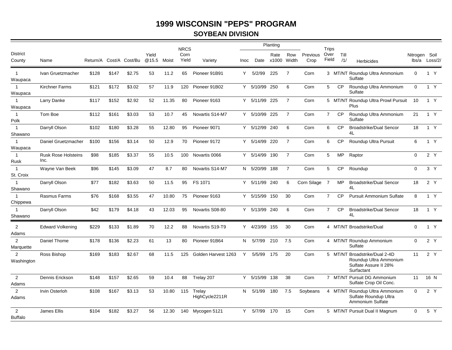## **SOYBEAN DIVISION**

|                                  |                                    |       |       |                         |                      |       | <b>NRCS</b>   |                          |      |               | Planting                 |                |                  | Trips          |             |                                                                                                |             |                                |
|----------------------------------|------------------------------------|-------|-------|-------------------------|----------------------|-------|---------------|--------------------------|------|---------------|--------------------------|----------------|------------------|----------------|-------------|------------------------------------------------------------------------------------------------|-------------|--------------------------------|
| <b>District</b><br>County        | Name                               |       |       | Return/A Cost/A Cost/Bu | Yield<br>@15.5 Moist |       | Corn<br>Yield | Variety                  | Inoc |               | Rate<br>Date x1000 Width | Row            | Previous<br>Crop | Over<br>Field  | Till<br>/1/ | <b>Herbicides</b>                                                                              |             | Nitrogen Soil<br>lbs/a Loss/2/ |
| $\mathbf{1}$<br>Waupaca          | Ivan Gruetzmacher                  | \$128 | \$147 | \$2.75                  | 53                   | 11.2  | 65            | Pioneer 91B91            | Y.   | 5/2/99        | 225                      | $\overline{7}$ | Corn             |                |             | 3 MT/NT Roundup Ultra Ammonium<br>Sulfate                                                      | $\Omega$    | 1 Y                            |
| $\overline{1}$<br>Waupaca        | <b>Kirchner Farms</b>              | \$121 | \$172 | \$3.02                  | 57                   | 11.9  | 120           | Pioneer 91B02            |      | Y 5/10/99 250 |                          | 6              | Corn             | 5              | <b>CP</b>   | Roundup Ultra Ammonium<br>Sulfate                                                              | $\mathbf 0$ | 1 Y                            |
| $\overline{1}$<br>Waupaca        | Larry Danke                        | \$117 | \$152 | \$2.92                  | 52                   | 11.35 | 80            | Pioneer 9163             |      | Y 5/11/99 225 |                          | $\overline{7}$ | Corn             |                |             | 5 MT/NT Roundup Ultra Prowl Pursuit<br>Plus                                                    | 10          | 1 Y                            |
| $\mathbf{1}$<br>Polk             | Tom Boe                            | \$112 | \$161 | \$3.03                  | 53                   | 10.7  | 45            | Novartis S14-M7          |      | Y 5/10/99 225 |                          | $\overline{7}$ | Corn             | $\overline{7}$ | <b>CP</b>   | Roundup Ultra Ammonium<br>Sulfate                                                              | 21          | 1 Y                            |
| $\mathbf{1}$<br>Shawano          | Darryll Olson                      | \$102 | \$180 | \$3.28                  | 55                   | 12.80 | 95            | Pioneer 9071             |      | Y 5/12/99 240 |                          | 6              | Corn             | 6              | <b>CP</b>   | <b>Broadstrike/Dual Sencor</b><br>4L                                                           | 18          | 1 Y                            |
| $\mathbf{1}$<br>Waupaca          | Daniel Gruetzmacher                | \$100 | \$156 | \$3.14                  | 50                   | 12.9  | 70            | Pioneer 9172             |      | Y 5/14/99 220 |                          | $\overline{7}$ | Corn             | 6              | <b>CP</b>   | Roundup Ultra Pursuit                                                                          | 6           | 1 Y                            |
| $\mathbf{1}$<br>Rusk             | <b>Rusk Rose Holsteins</b><br>Inc. | \$98  | \$185 | \$3.37                  | 55                   | 10.5  | 100           | Novartis 0066            |      | Y 5/14/99 190 |                          | $\overline{7}$ | Corn             | 5              | <b>MP</b>   | Raptor                                                                                         | $\mathbf 0$ | 2 Y                            |
| $\overline{1}$<br>St. Croix      | Wayne Van Beek                     | \$96  | \$145 | \$3.09                  | 47                   | 8.7   | 80            | Novartis S14-M7          |      | N 5/20/99 188 |                          | $\overline{7}$ | Corn             | 5              | <b>CP</b>   | Roundup                                                                                        | $\mathbf 0$ | 3 Y                            |
| $\overline{1}$<br>Shawano        | Darryll Olson                      | \$77  | \$182 | \$3.63                  | 50                   | 11.5  | 95            | FS 1071                  |      | Y 5/11/99     | 240                      | 6              | Corn Silage      | $\overline{7}$ | <b>MP</b>   | <b>Broadstrike/Dual Sencor</b><br>4L                                                           | 18          | 2 Y                            |
| $\overline{1}$<br>Chippewa       | Rasmus Farms                       | \$76  | \$168 | \$3.55                  | 47                   | 10.80 | 75            | Pioneer 9163             |      | Y 5/15/99 150 |                          | 30             | Corn             | $\overline{7}$ | <b>CP</b>   | <b>Pursuit Ammonium Sulfate</b>                                                                | 8           | 1 Y                            |
| $\overline{1}$<br>Shawano        | Darryll Olson                      | \$42  | \$179 | \$4.18                  | 43                   | 12.03 | 95            | Novartis S08-80          |      | Y 5/13/99 240 |                          | 6              | Corn             | $\overline{7}$ | CP          | <b>Broadstrike/Dual Sencor</b><br>4L                                                           | 18          | 1 Y                            |
| $\overline{2}$<br>Adams          | <b>Edward Volkening</b>            | \$229 | \$133 | \$1.89                  | 70                   | 12.2  | 88            | Novartis S19-T9          |      | Y 4/23/99 155 |                          | 30             | Corn             |                |             | 4 MT/NT Broadstrike/Dual                                                                       | $\Omega$    | 1 Y                            |
| $\overline{2}$<br>Marquette      | Daniel Thome                       | \$178 | \$136 | \$2.23                  | 61                   | 13    | 80            | Pioneer 91B64            |      | N 5/7/99      | 210                      | 7.5            | Corn             |                |             | 4 MT/NT Roundup Ammonium<br>Sulfate                                                            | $\mathbf 0$ | 2 Y                            |
| 2<br>Washington                  | Ross Bishop                        | \$169 | \$183 | \$2.67                  | 68                   | 11.5  | 125           | Golden Harvest 1263      | Y    | 5/5/99        | 175                      | 20             | Corn             |                |             | 5 MT/NT Broadstrike/Dual 2-4D<br>Roundup Ultra Ammonium<br>Sulfate Assure II 28%<br>Surfactant | 11          | 2 Y                            |
| $\overline{2}$<br>Adams          | Dennis Erickson                    | \$148 | \$157 | \$2.65                  | 59                   | 10.4  | 88            | Trelay 207               |      | Y 5/15/99 138 |                          | 38             | Corn             |                |             | 7 MT/NT Pursuit DG Ammonium<br>Sulfate Crop Oil Conc.                                          | 11          | 16 N                           |
| 2<br>Adams                       | Irvin Osterloh                     | \$108 | \$167 | \$3.13                  | 53                   | 10.80 | 115           | Trelav<br>HighCycle2211R | N    | 5/1/99        | 180                      | 7.5            | Soybeans         |                |             | 4 MT/NT Roundup Ultra Ammonium<br>Sulfate Roundup Ultra<br>Ammonium Sulfate                    | $\Omega$    | 2 Y                            |
| $\overline{2}$<br><b>Buffalo</b> | James Ellis                        | \$104 | \$182 | \$3.27                  | 56                   | 12.30 | 140           | Mycogen 5121             | Y    | 5/7/99        | 170                      | 15             | Corn             |                |             | 5 MT/NT Pursuit Dual II Magnum                                                                 | $\mathbf 0$ | 5 Y                            |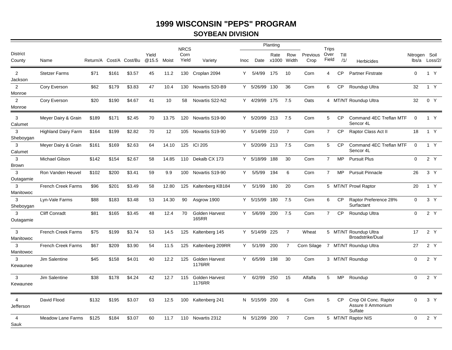## **SOYBEAN DIVISION**

|                             |                            |          |       |                |                |       | <b>NRCS</b>   |                                        |      |               | Planting           |                |                  | <b>Trips</b>   |             |                                                        |                        |                |
|-----------------------------|----------------------------|----------|-------|----------------|----------------|-------|---------------|----------------------------------------|------|---------------|--------------------|----------------|------------------|----------------|-------------|--------------------------------------------------------|------------------------|----------------|
| <b>District</b><br>County   | Name                       | Return/A |       | Cost/A Cost/Bu | Yield<br>@15.5 | Moist | Corn<br>Yield | Variety                                | Inoc |               | Rate<br>Date x1000 | Row<br>Width   | Previous<br>Crop | Over<br>Field  | Till<br>/1/ | <b>Herbicides</b>                                      | Nitrogen Soil<br>lbs/a | Loss/2/        |
| 2<br>Jackson                | <b>Stetzer Farms</b>       | \$71     | \$161 | \$3.57         | 45             | 11.2  |               | 130 Croplan 2094                       |      | Y 5/4/99      | 175                | 10             | Corn             | $\overline{4}$ | <b>CP</b>   | <b>Partner Firstrate</b>                               | $\mathbf{0}$           | 1 Y            |
| 2<br>Monroe                 | Cory Everson               | \$62     | \$179 | \$3.83         | 47             | 10.4  | 130           | Novartis S20-B9                        |      | Y 5/26/99 130 |                    | 36             | Corn             | 6              | <b>CP</b>   | Roundup Ultra                                          | 32                     | 1 Y            |
| 2<br>Monroe                 | Cory Everson               | \$20     | \$190 | \$4.67         | 41             | 10    | 58            | Novartis S22-N2                        |      | Y 4/29/99 175 |                    | 7.5            | Oats             |                |             | 4 MT/NT Roundup Ultra                                  | 32                     | 0 Y            |
| 3<br>Calumet                | Meyer Dairy & Grain        | \$189    | \$171 | \$2.45         | 70             | 13.75 | 120           | Novartis S19-90                        |      | Y 5/20/99 213 |                    | 7.5            | Corn             | 5              | <b>CP</b>   | Command 4EC Treflan MTF<br>Sencor 4L                   | 0                      | 1 Y            |
| 3<br>Sheboygan              | <b>Highland Dairy Farm</b> | \$164    | \$199 | \$2.82         | 70             | 12    | 105           | Novartis S19-90                        |      | Y 5/14/99     | 210                | $\overline{7}$ | Corn             | $\overline{7}$ | <b>CP</b>   | Raptor Class Act II                                    | 18                     | 1 Y            |
| 3<br>Calumet                | Meyer Dairy & Grain        | \$161    | \$169 | \$2.63         | 64             | 14.10 |               | 125 ICI 205                            |      | Y 5/20/99 213 |                    | 7.5            | Corn             | 5              | <b>CP</b>   | Command 4EC Treflan MTF<br>Sencor 4L                   | $\mathbf 0$            | 1 Y            |
| 3<br><b>Brown</b>           | <b>Michael Gilson</b>      | \$142    | \$154 | \$2.67         | 58             | 14.85 | 110           | Dekalb CX 173                          |      | Y 5/18/99 188 |                    | 30             | Corn             | $\overline{7}$ | <b>MP</b>   | <b>Pursuit Plus</b>                                    | $\mathbf 0$            | 2Y             |
| 3<br>Outagamie              | Ron Vanden Heuvel          | \$102    | \$200 | \$3.41         | 59             | 9.9   |               | 100 Novartis S19-90                    |      | Y 5/5/99      | 194                | 6              | Corn             | $\overline{7}$ | <b>MP</b>   | <b>Pursuit Pinnacle</b>                                | 26                     | 3 Y            |
| 3<br>Manitowoc              | <b>French Creek Farms</b>  | \$96     | \$201 | \$3.49         | 58             | 12.80 | 125           | Kaltenberg KB184                       |      | Y 5/1/99      | 180                | 20             | Corn             |                |             | 5 MT/NT Prowl Raptor                                   | 20                     | 1 Y            |
| 3<br>Sheboygan              | Lyn-Vale Farms             | \$88     | \$183 | \$3.48         | 53             | 14.30 | 90            | Asgrow 1900                            |      | Y 5/15/99 180 |                    | 7.5            | Corn             | 6              | <b>CP</b>   | Raptor Preference 28%<br>Surfactant                    | $\Omega$               | 3 <sup>Y</sup> |
| 3<br>Outagamie              | <b>Cliff Conradt</b>       | \$81     | \$165 | \$3.45         | 48             | 12.4  | 70            | Golden Harvest<br><b>165RR</b>         |      | Y 5/6/99      | 200                | 7.5            | Corn             | $\overline{7}$ | <b>CP</b>   | Roundup Ultra                                          | $\mathbf 0$            | 2Y             |
| 3<br>Manitowoc              | French Creek Farms         | \$75     | \$199 | \$3.74         | 53             | 14.5  | 125           | Kaltenberg 145                         |      | Y 5/14/99     | 225                | $\overline{7}$ | Wheat            |                |             | 5 MT/NT Roundup Ultra<br><b>Broadstrike/Dual</b>       | 17                     | 2 Y            |
| 3<br>Manitowoc              | <b>French Creek Farms</b>  | \$67     | \$209 | \$3.90         | 54             | 11.5  |               | 125 Kaltenberg 209RR                   |      | Y 5/1/99      | 200                | $\overline{7}$ |                  |                |             | Corn Silage 7 MT/NT Roundup Ultra                      | 27                     | 2 Y            |
| 3<br>Kewaunee               | Jim Salentine              | \$45     | \$158 | \$4.01         | 40             | 12.2  | 125           | <b>Golden Harvest</b><br><b>1176RR</b> |      | Y 6/5/99      | 198                | 30             | Corn             |                |             | 3 MT/NT Roundup                                        | $\Omega$               | 2 Y            |
| 3<br>Kewaunee               | Jim Salentine              | \$38     | \$178 | \$4.24         | 42             | 12.7  | 115           | Golden Harvest<br>1176RR               |      | Y 6/2/99      | 250                | 15             | Alfalfa          | 5              | <b>MP</b>   | Roundup                                                | 0                      | 2 Y            |
| $\overline{4}$<br>Jefferson | David Flood                | \$132    | \$195 | \$3.07         | 63             | 12.5  |               | 100 Kaltenberg 241                     |      | N 5/15/99 200 |                    | 6              | Corn             | 5              | CP          | Crop Oil Conc. Raptor<br>Assure II Ammonium<br>Sulfate | $\Omega$               | 3 Y            |
| $\overline{4}$<br>Sauk      | <b>Meadow Lane Farms</b>   | \$125    | \$184 | \$3.07         | 60             | 11.7  |               | 110 Novartis 2312                      |      | N 5/12/99 200 |                    | $\overline{7}$ | Corn             |                |             | 5 MT/NT Raptor NIS                                     | $\Omega$               | 2Y             |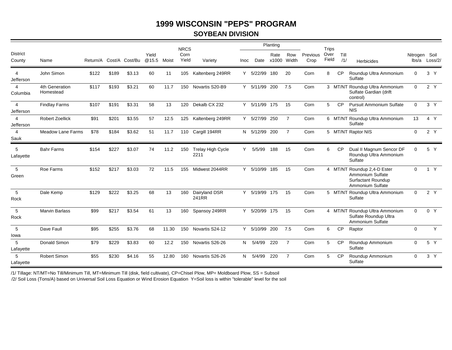## **SOYBEAN DIVISION**

|                             |                             |       |       |                         |                |       | <b>NRCS</b>   |                                  |             |               | Planting |                    |                  | <b>Trips</b>  |             |                                                                                           |                        |                |
|-----------------------------|-----------------------------|-------|-------|-------------------------|----------------|-------|---------------|----------------------------------|-------------|---------------|----------|--------------------|------------------|---------------|-------------|-------------------------------------------------------------------------------------------|------------------------|----------------|
| <b>District</b><br>County   | Name                        |       |       | Return/A Cost/A Cost/Bu | Yield<br>@15.5 | Moist | Corn<br>Yield | Variety                          | <b>Inoc</b> | Date          | Rate     | Row<br>x1000 Width | Previous<br>Crop | Over<br>Field | Till<br>/1/ | Herbicides                                                                                | Nitrogen Soil<br>lbs/a | Loss/2/        |
| 4<br>Jefferson              | John Simon                  | \$122 | \$189 | \$3.13                  | 60             | 11    | 105           | Kaltenberg 249RR                 | Y           | 5/22/99       | 180      | 20                 | Corn             | 8             | <b>CP</b>   | Roundup Ultra Ammonium<br>Sulfate                                                         | $\Omega$               | 3 <sup>Y</sup> |
| 4<br>Columbia               | 4th Generation<br>Homestead | \$117 | \$193 | \$3.21                  | 60             | 11.7  | 150           | Novartis S20-B9                  |             | Y 5/11/99 200 |          | 7.5                | Corn             |               |             | 3 MT/NT Roundup Ultra Ammonium<br>Sulfate Gardian (drift<br>control)                      | $\Omega$               | 2 Y            |
| $\overline{4}$<br>Jefferson | <b>Findlay Farms</b>        | \$107 | \$191 | \$3.31                  | 58             | 13    | 120           | Dekalb CX 232                    |             | Y 5/11/99 175 |          | 15                 | Corn             | 5             | <b>CP</b>   | <b>Pursuit Ammonium Sulfate</b><br><b>NIS</b>                                             | $\Omega$               | 3 <sup>Y</sup> |
| $\overline{4}$<br>Jefferson | <b>Robert Zoellick</b>      | \$91  | \$201 | \$3.55                  | 57             | 12.5  | 125           | Kaltenberg 249RR                 | Y.          | 5/27/99       | 250      | $\overline{7}$     | Corn             |               |             | 6 MT/NT Roundup Ultra Ammonium<br>Sulfate                                                 | 13                     | 4 Y            |
| $\overline{4}$<br>Sauk      | <b>Meadow Lane Farms</b>    | \$78  | \$184 | \$3.62                  | 51             | 11.7  |               | 110 Cargill 194RR                |             | N 5/12/99 200 |          | 7                  | Corn             |               |             | 5 MT/NT Raptor NIS                                                                        | $\overline{0}$         | 2 Y            |
| 5<br>Lafayette              | <b>Bahr Farms</b>           | \$154 | \$227 | \$3.07                  | 74             | 11.2  | 150           | <b>Trelay High Cycle</b><br>2211 | Y           | 5/5/99        | 188      | 15                 | Corn             | 6             | <b>CP</b>   | Dual II Magnum Sencor DF<br>Roundup Ultra Ammonium<br>Sulfate                             | $\Omega$               | 5 Y            |
| 5<br>Green                  | Roe Farms                   | \$152 | \$217 | \$3.03                  | 72             | 11.5  | 155           | Midwest 2044RR                   | Y           | 5/10/99 185   |          | 15                 | Corn             |               |             | 4 MT/NT Roundup 2,4-D Ester<br>Ammonium Sulfate<br>Surfactant Roundup<br>Ammonium Sulfate | $\Omega$               | 1 Y            |
| 5<br>Rock                   | Dale Kemp                   | \$129 | \$222 | \$3.25                  | 68             | 13    | 160           | Dairyland DSR<br>241RR           | Y           | 5/19/99 175   |          | 15                 | Corn             |               |             | 5 MT/NT Roundup Ultra Ammonium<br>Sulfate                                                 | $\mathbf 0$            | 2 Y            |
| 5<br>Rock                   | <b>Marvin Barlass</b>       | \$99  | \$217 | \$3.54                  | 61             | 13    | 160           | Spansoy 249RR                    | Y           | 5/20/99 175   |          | 15                 | Corn             |               |             | 4 MT/NT Roundup Ultra Ammonium<br>Sulfate Roundup Ultra<br>Ammonium Sulfate               | $\mathbf 0$            | 0 Y            |
| 5<br>lowa                   | Dave Faull                  | \$95  | \$255 | \$3.76                  | 68             | 11.30 | 150           | Novartis S24-12                  | Y           | 5/10/99       | 200      | 7.5                | Corn             | 6             | <b>CP</b>   | Raptor                                                                                    | $\mathbf 0$            | Y              |
| 5<br>Lafayette              | Donald Simon                | \$79  | \$229 | \$3.83                  | 60             | 12.2  | 150           | Novartis S26-26                  | N           | 5/4/99        | 220      | $\overline{7}$     | Corn             | 5             | <b>CP</b>   | Roundup Ammonium<br>Sulfate                                                               | $\Omega$               | 5 Y            |
| 5<br>Lafayette              | Robert Simon                | \$55  | \$230 | \$4.16                  | 55             | 12.80 | 160           | Novartis S26-26                  | N           | 5/4/99        | 220      | $\overline{7}$     | Corn             | 5             | <b>CP</b>   | Roundup Ammonium<br>Sulfate                                                               | $\Omega$               | 3 <sup>Y</sup> |

/1/ Tillage: NT/MT=No Till/Minimum Till, MT=Minimum Till (disk, field cultivate), CP=Chisel Plow, MP= Moldboard Plow, SS = Subsoil

/2/ Soil Loss (Tons/A) based on Universal Soil Loss Equation or Wind Erosion Equation Y=Soil loss is within "tolerable" level for the soil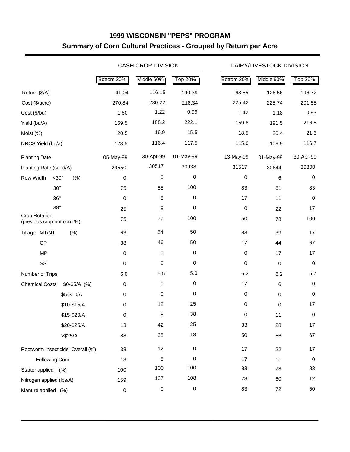# **1999 WISCONSIN "PEPS" PROGRAM Summary of Corn Cultural Practices - Grouped by Return per Acre**

|                                             |                                  |            | <b>CASH CROP DIVISION</b> |           |            | DAIRY/LIVESTOCK DIVISION |           |
|---------------------------------------------|----------------------------------|------------|---------------------------|-----------|------------|--------------------------|-----------|
|                                             |                                  | Bottom 20% | Middle 60%                | Top 20%   | Bottom 20% | Middle 60%               | Top 20%   |
| Return (\$/A)                               |                                  | 41.04      | 116.15                    | 190.39    | 68.55      | 126.56                   | 196.72    |
| Cost (\$/acre)                              |                                  | 270.84     | 230.22                    | 218.34    | 225.42     | 225.74                   | 201.55    |
| Cost (\$/bu)                                |                                  | 1.60       | 1.22                      | 0.99      | 1.42       | 1.18                     | 0.93      |
| Yield (bu/A)                                |                                  | 169.5      | 188.2                     | 222.1     | 159.8      | 191.5                    | 216.5     |
| Moist (%)                                   |                                  | 20.5       | 16.9                      | 15.5      | 18.5       | 20.4                     | 21.6      |
| NRCS Yield (bu/a)                           |                                  | 123.5      | 116.4                     | 117.5     | 115.0      | 109.9                    | 116.7     |
| <b>Planting Date</b>                        |                                  | 05-May-99  | 30-Apr-99                 | 01-May-99 | 13-May-99  | 01-May-99                | 30-Apr-99 |
| Planting Rate (seed/A)                      |                                  | 29550      | 30517                     | 30938     | 31517      | 30644                    | 30800     |
| Row Width                                   | $<$ 30"<br>(% )                  | 0          | $\pmb{0}$                 | $\,0\,$   | 0          | 6                        | 0         |
|                                             | 30"                              | 75         | 85                        | 100       | 83         | 61                       | 83        |
|                                             | 36"                              | $\pmb{0}$  | 8                         | 0         | 17         | 11                       | $\pmb{0}$ |
|                                             | 38"                              | 25         | 8                         | 0         | 0          | 22                       | 17        |
| Crop Rotation<br>(previous crop not corn %) |                                  | 75         | 77                        | 100       | 50         | 78                       | 100       |
| Tillage MT/NT                               | (% )                             | 63         | 54                        | 50        | 83         | 39                       | 17        |
| CP                                          |                                  | 38         | 46                        | 50        | 17         | 44                       | 67        |
| <b>MP</b>                                   |                                  | 0          | $\mathbf 0$               | 0         | 0          | 17                       | 17        |
| SS                                          |                                  | 0          | $\pmb{0}$                 | 0         | $\pmb{0}$  | $\mathbf 0$              | 0         |
| Number of Trips                             |                                  | 6.0        | 5.5                       | 5.0       | 6.3        | 6.2                      | 5.7       |
| <b>Chemical Costs</b>                       | $$0-$5/A$ (%)                    | 0          | $\mathbf 0$               | 0         | 17         | 6                        | 0         |
|                                             | \$5-\$10/A                       | 0          | $\pmb{0}$                 | 0         | $\pmb{0}$  | $\mathbf 0$              | 0         |
|                                             | \$10-\$15/A                      | 0          | 12                        | 25        | 0          | $\mathbf 0$              | 17        |
|                                             | \$15-\$20/A                      | 0          | 8                         | 38        | 0          | 11                       | 0         |
|                                             | \$20-\$25/A                      | 13         | 42                        | 25        | 33         | 28                       | 17        |
|                                             | > \$25/A                         | 88         | 38                        | 13        | 50         | 56                       | 67        |
|                                             | Rootworm Insecticide Overall (%) | 38         | 12                        | 0         | 17         | 22                       | 17        |
| <b>Following Corn</b>                       |                                  | 13         | 8                         | 0         | 17         | 11                       | 0         |
| Starter applied (%)                         |                                  | 100        | 100                       | 100       | 83         | 78                       | 83        |
| Nitrogen applied (lbs/A)                    |                                  | 159        | 137                       | 108       | 78         | 60                       | 12        |
| Manure applied (%)                          |                                  | $\pmb{0}$  | $\pmb{0}$                 | $\pmb{0}$ | 83         | 72                       | 50        |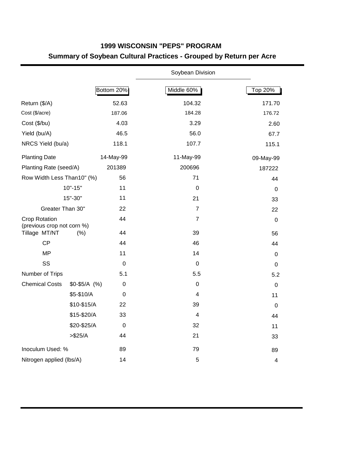# **1999 WISCONSIN "PEPS" PROGRAM Summary of Soybean Cultural Practices - Grouped by Return per Acre**

|                                             |               |                  | Soybean Division |             |
|---------------------------------------------|---------------|------------------|------------------|-------------|
|                                             |               | Bottom 20%       | Middle 60%       | Top 20%     |
| Return (\$/A)                               |               | 52.63            | 104.32           | 171.70      |
| Cost (\$/acre)                              |               | 187.06           | 184.28           | 176.72      |
| Cost (\$/bu)                                |               | 4.03             | 3.29             | 2.60        |
| Yield (bu/A)                                |               | 46.5             | 56.0             | 67.7        |
| NRCS Yield (bu/a)                           |               | 118.1            | 107.7            | 115.1       |
| <b>Planting Date</b>                        |               | 14-May-99        | 11-May-99        | 09-May-99   |
| Planting Rate (seed/A)                      |               | 201389           | 200696           | 187222      |
| Row Width Less Than10" (%)                  |               | 56               | 71               | 44          |
|                                             | $10" - 15"$   | 11               | $\mathbf 0$      | 0           |
|                                             | 15"-30"       | 11               | 21               | 33          |
| Greater Than 30"                            |               | 22               | $\overline{7}$   | 22          |
| Crop Rotation<br>(previous crop not corn %) |               | 44               | $\overline{7}$   | $\pmb{0}$   |
| Tillage MT/NT                               | (% )          | 44               | 39               | 56          |
| <b>CP</b>                                   |               | 44               | 46               | 44          |
| <b>MP</b>                                   |               | 11               | 14               | $\pmb{0}$   |
| SS                                          |               | $\mathbf 0$      | 0                | 0           |
| Number of Trips                             |               | 5.1              | 5.5              | 5.2         |
| <b>Chemical Costs</b>                       | $$0-$5/A$ (%) | 0                | 0                | $\pmb{0}$   |
|                                             | \$5-\$10/A    | $\boldsymbol{0}$ | 4                | 11          |
|                                             | \$10-\$15/A   | 22               | 39               | $\mathbf 0$ |
|                                             | \$15-\$20/A   | 33               | 4                | 44          |
|                                             | \$20-\$25/A   | $\mathbf 0$      | 32               | 11          |
|                                             | > \$25/A      | 44               | 21               | 33          |
| Inoculum Used: %                            |               | 89               | 79               | 89          |
| Nitrogen applied (lbs/A)                    |               | 14               | 5                | 4           |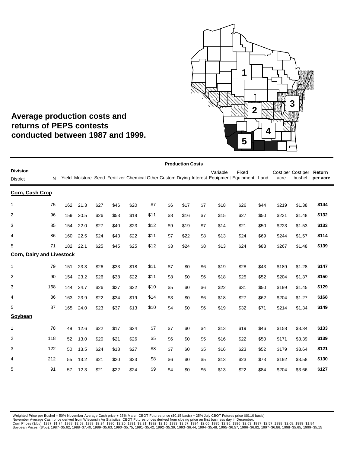

# **Average production costs and returns of PEPS contests conducted between 1987 and 1999.**

|                                    |     |     |      |      |      |      |      |     | <b>Production Costs</b> |     |          |                                                                                                        |      |       |                             |                    |
|------------------------------------|-----|-----|------|------|------|------|------|-----|-------------------------|-----|----------|--------------------------------------------------------------------------------------------------------|------|-------|-----------------------------|--------------------|
| <b>Division</b><br><b>District</b> | N   |     |      |      |      |      |      |     |                         |     | Variable | Fixed<br>Yield Moisture Seed Fertilizer Chemical Other Custom Drying Interest Equipment Equipment Land |      | acre  | Cost per Cost per<br>bushel | Return<br>per acre |
| Corn, Cash Crop                    |     |     |      |      |      |      |      |     |                         |     |          |                                                                                                        |      |       |                             |                    |
| $\mathbf{1}$                       | 75  | 162 | 21.3 | \$27 | \$46 | \$20 | \$7  | \$6 | \$17                    | \$7 | \$18     | \$26                                                                                                   | \$44 | \$219 | \$1.38                      | \$144              |
| $\overline{2}$                     | 96  | 159 | 20.5 | \$26 | \$53 | \$18 | \$11 | \$8 | \$16                    | \$7 | \$15     | \$27                                                                                                   | \$50 | \$231 | \$1.48                      | \$132              |
| 3                                  | 85  | 154 | 22.0 | \$27 | \$40 | \$23 | \$12 | \$9 | \$19                    | \$7 | \$14     | \$21                                                                                                   | \$50 | \$223 | \$1.53                      | \$133              |
| 4                                  | 86  | 160 | 22.5 | \$24 | \$43 | \$22 | \$11 | \$7 | \$22                    | \$8 | \$13     | \$24                                                                                                   | \$69 | \$244 | \$1.57                      | \$114              |
| 5                                  | 71  | 182 | 22.1 | \$25 | \$45 | \$25 | \$12 | \$3 | \$24                    | \$8 | \$13     | \$24                                                                                                   | \$88 | \$267 | \$1.48                      | \$139              |
| <b>Corn, Dairy and Livestock</b>   |     |     |      |      |      |      |      |     |                         |     |          |                                                                                                        |      |       |                             |                    |
| $\mathbf{1}$                       | 79  | 151 | 23.3 | \$26 | \$33 | \$18 | \$11 | \$7 | \$0                     | \$6 | \$19     | \$28                                                                                                   | \$43 | \$189 | \$1.28                      | \$147              |
| $\overline{2}$                     | 90  | 154 | 23.2 | \$26 | \$38 | \$22 | \$11 | \$8 | \$0                     | \$6 | \$18     | \$25                                                                                                   | \$52 | \$204 | \$1.37                      | \$150              |
| 3                                  | 168 | 144 | 24.7 | \$26 | \$27 | \$22 | \$10 | \$5 | \$0                     | \$6 | \$22     | \$31                                                                                                   | \$50 | \$199 | \$1.45                      | \$129              |
| $\overline{4}$                     | 86  | 163 | 23.9 | \$22 | \$34 | \$19 | \$14 | \$3 | \$0                     | \$6 | \$18     | \$27                                                                                                   | \$62 | \$204 | \$1.27                      | \$168              |
| 5                                  | 37  | 165 | 24.0 | \$23 | \$37 | \$13 | \$10 | \$4 | \$0                     | \$6 | \$19     | \$32                                                                                                   | \$71 | \$214 | \$1.34                      | \$149              |
| Soybean                            |     |     |      |      |      |      |      |     |                         |     |          |                                                                                                        |      |       |                             |                    |
| $\mathbf{1}$                       | 78  | 49  | 12.6 | \$22 | \$17 | \$24 | \$7  | \$7 | \$0                     | \$4 | \$13     | \$19                                                                                                   | \$46 | \$158 | \$3.34                      | \$133              |
| $\overline{2}$                     | 118 | 52  | 13.0 | \$20 | \$21 | \$26 | \$5  | \$6 | \$0                     | \$5 | \$16     | \$22                                                                                                   | \$50 | \$171 | \$3.39                      | \$139              |
| 3                                  | 122 | 50  | 13.5 | \$24 | \$18 | \$27 | \$8  | \$7 | \$0                     | \$5 | \$16     | \$23                                                                                                   | \$52 | \$179 | \$3.64                      | \$121              |
| 4                                  | 212 | 55  | 13.2 | \$21 | \$20 | \$23 | \$8  | \$6 | \$0                     | \$5 | \$13     | \$23                                                                                                   | \$73 | \$192 | \$3.58                      | \$130              |
| 5                                  | 91  | 57  | 12.3 | \$21 | \$22 | \$24 | \$9  | \$4 | \$0                     | \$5 | \$13     | \$22                                                                                                   | \$84 | \$204 | \$3.66                      | \$127              |
|                                    |     |     |      |      |      |      |      |     |                         |     |          |                                                                                                        |      |       |                             |                    |

Weighted Price per Bushel = 50% November Average Cash price + 25% March CBOT Futures price (\$0.15 basis) + 25% July CBOT Futures price (\$0.10 basis)<br>November Average Cash price derived from Wisconsin Ag Statistics; CBOT Fu Soybean Prices (\$/bu): 1987=\$5.62, 1988=\$7.40, 1989=\$5.63, 1990=\$5.75, 1991=\$5.42, 1992=\$5.39, 1993=\$6.44, 1994=\$5.48, 1995=\$6.57, 1996=\$6.82, 1997=\$6.86, 1998=\$5.65, 1999=\$5.15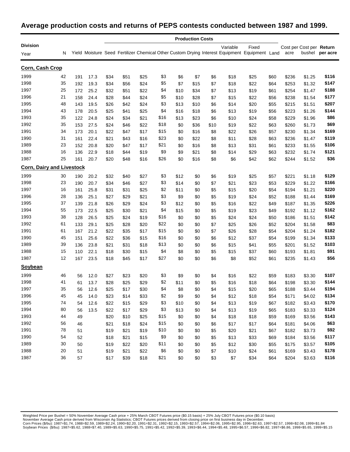## **Average production costs and returns of PEPS contests conducted between 1987 and 1999.**

|                                  |    |     |      |      |      |      |      |      | <b>Production Costs</b> |      |          |                                                                                                        |      |       |                                    |          |
|----------------------------------|----|-----|------|------|------|------|------|------|-------------------------|------|----------|--------------------------------------------------------------------------------------------------------|------|-------|------------------------------------|----------|
| <b>Division</b><br>Year          | N  |     |      |      |      |      |      |      |                         |      | Variable | Fixed<br>Yield Moisture Seed Fertilizer Chemical Other Custom Drying Interest Equipment Equipment Land |      | acre  | Cost per Cost per Return<br>bushel | per acre |
| Corn, Cash Crop                  |    |     |      |      |      |      |      |      |                         |      |          |                                                                                                        |      |       |                                    |          |
| 1999                             | 42 | 191 | 17.3 | \$34 | \$51 | \$25 | \$3  | \$6  | \$7                     | \$6  | \$18     | \$25                                                                                                   | \$60 | \$236 | \$1.25                             | \$116    |
| 1998                             | 35 | 192 | 19.3 | \$34 | \$56 | \$24 | \$5  | \$7  | \$15                    | \$7  | \$18     | \$22                                                                                                   | \$64 | \$253 | \$1.32                             | \$147    |
| 1997                             | 25 | 172 | 25.2 | \$32 | \$51 | \$22 | \$4  | \$10 | \$34                    | \$7  | \$13     | \$19                                                                                                   | \$61 | \$254 | \$1.47                             | \$188    |
| 1996                             | 21 | 158 | 24.4 | \$28 | \$44 | \$24 | \$5  | \$10 | \$28                    | \$7  | \$15     | \$22                                                                                                   | \$56 | \$238 | \$1.54                             | \$177    |
| 1995                             | 48 | 143 | 19.5 | \$26 | \$42 | \$24 | \$3  | \$13 | \$10                    | \$6  | \$14     | \$20                                                                                                   | \$55 | \$215 | \$1.51                             | \$207    |
| 1994                             | 43 | 178 | 20.5 | \$25 | \$41 | \$25 | \$4  | \$16 | \$18                    | \$6  | \$13     | \$19                                                                                                   | \$56 | \$223 | \$1.26                             | \$144    |
| 1993                             | 35 | 122 | 24.8 | \$24 | \$34 | \$21 | \$16 | \$13 | \$23                    | \$6  | \$10     | \$24                                                                                                   | \$58 | \$229 | \$1.96                             | \$86     |
| 1992                             | 35 | 153 | 27.5 | \$24 | \$46 | \$22 | \$18 | \$0  | \$36                    | \$10 | \$19     | \$22                                                                                                   | \$63 | \$260 | \$1.73                             | \$69     |
| 1991                             | 34 | 173 | 20.1 | \$22 | \$47 | \$17 | \$15 | \$0  | \$16                    | \$8  | \$22     | \$26                                                                                                   | \$57 | \$230 | \$1.34                             | \$169    |
| 1990                             | 31 | 161 | 22.4 | \$21 | \$43 | \$16 | \$23 | \$0  | \$22                    | \$8  | \$11     | \$28                                                                                                   | \$63 | \$236 | \$1.47                             | \$119    |
| 1989                             | 23 | 152 | 20.8 | \$20 | \$47 | \$17 | \$21 | \$0  | \$16                    | \$8  | \$13     | \$31                                                                                                   | \$61 | \$233 | \$1.55                             | \$106    |
| 1988                             | 16 | 136 | 22.9 | \$18 | \$44 | \$19 | \$9  | \$9  | \$21                    | \$8  | \$14     | \$29                                                                                                   | \$63 | \$232 | \$1.74                             | \$121    |
| 1987                             | 25 | 161 | 20.7 | \$20 | \$48 | \$16 | \$26 | \$0  | \$16                    | \$8  | \$6      | \$42                                                                                                   | \$62 | \$244 | \$1.52                             | \$36     |
| <b>Corn, Dairy and Livestock</b> |    |     |      |      |      |      |      |      |                         |      |          |                                                                                                        |      |       |                                    |          |
| 1999                             | 30 | 190 | 20.2 | \$32 | \$40 | \$27 | \$3  | \$12 | \$0                     | \$6  | \$19     | \$25                                                                                                   | \$57 | \$221 | \$1.18                             | \$129    |
| 1998                             | 23 | 190 | 20.7 | \$34 | \$46 | \$27 | \$3  | \$14 | \$0                     | \$7  | \$21     | \$23                                                                                                   | \$53 | \$229 | \$1.22                             | \$166    |
| 1997                             | 16 | 161 | 25.8 | \$31 | \$31 | \$25 | \$2  | \$11 | \$0                     | \$5  | \$15     | \$20                                                                                                   | \$54 | \$194 | \$1.21                             | \$220    |
| 1996                             | 28 | 136 | 25.1 | \$27 | \$29 | \$21 | \$3  | \$9  | \$0                     | \$5  | \$19     | \$24                                                                                                   | \$52 | \$188 | \$1.44                             | \$169    |
| 1995                             | 37 | 139 | 21.8 | \$26 | \$29 | \$24 | \$3  | \$12 | \$0                     | \$5  | \$16     | \$22                                                                                                   | \$49 | \$187 | \$1.35                             | \$226    |
| 1994                             | 55 | 173 | 22.5 | \$25 | \$30 | \$21 | \$4  | \$15 | \$0                     | \$5  | \$19     | \$23                                                                                                   | \$49 | \$192 | \$1.12                             | \$162    |
| 1993                             | 38 | 128 | 26.5 | \$25 | \$24 | \$19 | \$16 | \$0  | \$0                     | \$5  | \$24     | \$24                                                                                                   | \$50 | \$186 | \$1.51                             | \$142    |
| 1992                             | 61 | 133 | 29.1 | \$25 | \$28 | \$20 | \$22 | \$0  | \$0                     | \$7  | \$25     | \$26                                                                                                   | \$52 | \$204 | \$1.58                             | \$83     |
| 1991                             | 61 | 167 | 21.2 | \$22 | \$35 | \$17 | \$15 | \$0  | \$0                     | \$7  | \$26     | \$28                                                                                                   | \$54 | \$204 | \$1.24                             | \$182    |
| 1990                             | 45 | 151 | 25.6 | \$22 | \$36 | \$15 | \$16 | \$0  | \$0                     | \$6  | \$12     | \$37                                                                                                   | \$54 | \$199 | \$1.34                             | \$133    |
| 1989                             | 39 | 136 | 23.8 | \$21 | \$31 | \$18 | \$13 | \$0  | \$0                     | \$6  | \$15     | \$41                                                                                                   | \$55 | \$201 | \$1.52                             | \$103    |
| 1988                             | 15 | 110 | 22.1 | \$18 | \$30 | \$15 | \$4  | \$8  | \$0                     | \$5  | \$15     | \$37                                                                                                   | \$60 | \$193 | \$1.81                             | \$91     |
| 1987                             | 12 | 167 | 23.5 | \$18 | \$45 | \$17 | \$27 | \$0  | \$0                     | \$6  | \$8      | \$52                                                                                                   | \$61 | \$235 | \$1.43                             | \$56     |
| <b>Soybean</b>                   |    |     |      |      |      |      |      |      |                         |      |          |                                                                                                        |      |       |                                    |          |
| 1999                             | 46 | 56  | 12.0 | \$27 | \$23 | \$20 | \$3  | \$9  | \$0                     | \$4  | \$16     | \$22                                                                                                   | \$59 | \$183 | \$3.30                             | \$107    |
| 1998                             | 41 | 61  | 13.7 | \$28 | \$25 | \$29 | \$2  | \$11 | \$0                     | \$5  | \$16     | \$18                                                                                                   | \$64 | \$198 | \$3.30                             | \$144    |
| 1997                             | 35 | 56  | 12.6 | \$25 | \$17 | \$30 | \$4  | \$8  | \$0                     | \$4  | \$15     | \$20                                                                                                   | \$65 | \$188 | \$3.44                             | \$194    |
| 1996                             | 45 | 45  | 14.0 | \$23 | \$14 | \$33 | \$2  | \$9  | \$0                     | \$4  | \$12     | \$18                                                                                                   | \$54 | \$171 | \$4.02                             | \$134    |
| 1995                             | 74 | 54  | 12.6 | \$22 | \$15 | \$29 | \$3  | \$10 | \$0                     | \$4  | \$13     | \$19                                                                                                   | \$67 | \$182 | \$3.43                             | \$170    |
| 1994                             | 80 | 56  | 13.5 | \$22 | \$17 | \$29 | \$3  | \$13 | \$0                     | \$4  | \$13     | \$19                                                                                                   | \$65 | \$183 | \$3.33                             | \$124    |
| 1993                             | 44 | 49  |      | \$20 | \$10 | \$25 | \$15 | \$0  | \$0                     | \$4  | \$18     | \$18                                                                                                   | \$59 | \$169 | \$3.56                             | \$143    |
| 1992                             | 56 | 46  |      | \$21 | \$18 | \$24 | \$15 | \$0  | \$0                     | \$6  | \$17     | \$17                                                                                                   | \$64 | \$181 | \$4.06                             | \$63     |
| 1991                             | 78 | 51  |      | \$19 | \$21 | \$19 | \$10 | \$0  | \$0                     | \$5  | \$20     | \$21                                                                                                   | \$67 | \$182 | \$3.73                             | \$92     |
| 1990                             | 54 | 52  |      | \$18 | \$21 | \$15 | \$9  | \$0  | \$0                     | \$5  | \$13     | \$33                                                                                                   | \$69 | \$184 | \$3.56                             | \$117    |
| 1989                             | 30 | 50  |      | \$19 | \$22 | \$20 | \$11 | \$0  | \$0                     | \$5  | \$12     | \$30                                                                                                   | \$55 | \$175 | \$3.57                             | \$105    |
| 1988                             | 20 | 51  |      | \$19 | \$21 | \$22 | \$6  | \$0  | \$0                     | \$7  | \$10     | \$24                                                                                                   | \$61 | \$169 | \$3.43                             | \$178    |
| 1987                             | 36 | 57  |      | \$17 | \$39 | \$18 | \$21 | \$0  | \$0                     | \$3  | $$7\,$   | \$34                                                                                                   | \$64 | \$204 | \$3.63                             | \$116    |

Weighted Price per Bushel = 50% November Average Cash price + 25% March CBOT Futures price (\$0.15 basis) + 25% July CBOT Futures price (\$0.10 basis)<br>November Average Cash price derived from Wisconsin Ag Statistics; CBOT Fu

Soybean Prices (\$/bu): 1987=\$5.62, 1988=\$7.40, 1989=\$5.63, 1990=\$5.75, 1991=\$5.42, 1992=\$5.39, 1993=\$6.44, 1994=\$5.48, 1995=\$6.57, 1996=\$6.82, 1997=\$6.86, 1998=\$5.65, 1999=\$5.15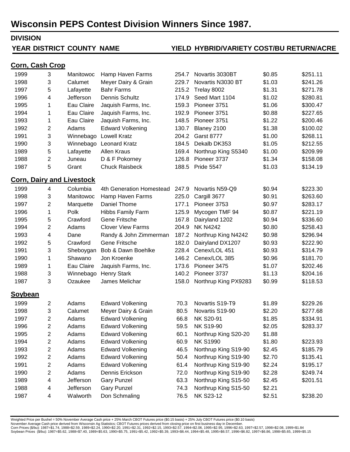#### **DIVISION**

#### **YEAR DISTRICT COUNTY NAME**

# **DISTRICT COUNTY NAME YIELD HYBRID/VARIETY COST/BU RETURN/ACRE**

#### **Corn, Cash Crop**

| 1999           | 3                                | Manitowoc  | Hamp Haven Farms         | 254.7 | Novartis 3030BT      | \$0.85 | \$251.11 |
|----------------|----------------------------------|------------|--------------------------|-------|----------------------|--------|----------|
| 1998           | 3                                | Calumet    | Meyer Dairy & Grain      | 229.7 | Novartis N3030 BT    | \$1.03 | \$241.26 |
| 1997           | 5                                | Lafayette  | <b>Bahr Farms</b>        | 215.2 | Trelay 8002          | \$1.31 | \$271.78 |
| 1996           | 4                                | Jefferson  | Dennis Schultz           | 174.9 | Seed Mart 1104       | \$1.02 | \$280.81 |
| 1995           | 1                                | Eau Claire | Jaquish Farms, Inc.      | 159.3 | Pioneer 3751         | \$1.06 | \$300.47 |
| 1994           | 1                                | Eau Claire | Jaquish Farms, Inc.      | 192.9 | Pioneer 3751         | \$0.88 | \$227.65 |
| 1993           | 1                                | Eau Claire | Jaquish Farms, Inc.      | 148.5 | Pioneer 3751         | \$1.22 | \$200.46 |
| 1992           | 2                                | Adams      | <b>Edward Volkening</b>  | 130.7 | Blaney 2100          | \$1.38 | \$100.02 |
| 1991           | 3                                | Winnebago  | <b>Lowell Kratz</b>      | 204.2 | <b>Garst 8777</b>    | \$1.00 | \$268.11 |
| 1990           | 3                                |            | Winnebago Leonard Kratz  | 184.5 | Dekalb DK353         | \$1.05 | \$212.55 |
| 1989           | 5                                | Lafayette  | <b>Allen Kraus</b>       | 169.4 | Northrup King S5340  | \$1.00 | \$209.99 |
| 1988           | 2                                | Juneau     | D & F Pokorney           | 126.8 | Pioneer 3737         | \$1.34 | \$158.08 |
| 1987           | 5                                | Grant      | <b>Chuck Raisbeck</b>    | 188.5 | <b>Pride 5547</b>    | \$1.03 | \$134.19 |
|                | <b>Corn, Dairy and Livestock</b> |            |                          |       |                      |        |          |
| 1999           | 4                                | Columbia   | 4th Generation Homestead | 247.9 | Novartis N59-Q9      | \$0.94 | \$223.30 |
| 1998           | 3                                | Manitowoc  | Hamp Haven Farms         | 225.0 | Cargill 3677         | \$0.91 | \$263.60 |
| 1997           | 2                                | Marquette  | Daniel Thome             | 177.1 | Pioneer 3753         | \$0.97 | \$283.17 |
| 1996           | 1                                | Polk       | <b>Hibbs Family Farm</b> | 125.9 | Mycogen TMF 94       | \$0.87 | \$221.19 |
| 1995           | 5                                | Crawford   | <b>Gene Fritsche</b>     | 167.8 | Dairyland 1202       | \$0.94 | \$336.60 |
| 1994           | 2                                | Adams      | <b>Clover View Farms</b> | 204.9 | <b>NK N4242</b>      | \$0.80 | \$258.43 |
| 1993           | 4                                | Dane       | Randy & John Zimmerman   | 187.2 | Northrup King N4242  | \$0.98 | \$296.94 |
| 1992           | 5                                | Crawford   | <b>Gene Fritsche</b>     | 182.0 | Dairyland DX1207     | \$0.93 | \$222.90 |
| 1991           | 3                                | Sheboygan  | Bob & Dawn Boehlke       | 228.4 | Cenex/LOL 451        | \$0.93 | \$314.79 |
| 1990           | 1                                | Shawano    | Jon Kroenke              | 146.2 | Cenex/LOL 385        | \$0.96 | \$181.70 |
| 1989           | 1                                | Eau Claire | Jaquish Farms, Inc.      | 173.6 | Pioneer 3475         | \$1.07 | \$202.46 |
| 1988           | 3                                | Winnebago  | <b>Henry Stark</b>       | 140.2 | Pioneer 3737         | \$1.13 | \$204.16 |
| 1987           | 3                                | Ozaukee    | James Melichar           | 158.0 | Northrup King PX9283 | \$0.99 | \$118.53 |
| <u>Soybean</u> |                                  |            |                          |       |                      |        |          |
| 1999           | $\overline{c}$                   | Adams      | <b>Edward Volkening</b>  | 70.3  | Novartis S19-T9      | \$1.89 | \$229.26 |
| 1998           | 3                                | Calumet    | Meyer Dairy & Grain      | 80.5  | Novartis S19-90      | \$2.20 | \$277.68 |
| 1997           | $\mathbf{2}$                     | Adams      | <b>Edward Volkening</b>  | 66.8  | NK S20-91            | \$1.85 | \$334.91 |
| 1996           | 2                                | Adams      | <b>Edward Volkening</b>  | 59.5  | <b>NK S19-90</b>     | \$2.05 | \$283.37 |
| 1995           | 2                                | Adams      | <b>Edward Volkening</b>  | 60.1  | Northrup King S20-20 | \$1.88 |          |
| 1994           | 2                                | Adams      | <b>Edward Volkening</b>  | 60.9  | <b>NK S1990</b>      | \$1.80 | \$223.93 |
| 1993           | 2                                | Adams      | <b>Edward Volkening</b>  | 46.5  | Northrup King S19-90 | \$2.45 | \$185.79 |
| 1992           | 2                                | Adams      | <b>Edward Volkening</b>  | 50.4  | Northrup King S19-90 | \$2.70 | \$135.41 |
| 1991           | 2                                | Adams      | <b>Edward Volkening</b>  | 61.4  | Northrup King S19-90 | \$2.24 | \$195.17 |
| 1990           | 2                                | Adams      | Dennis Erickson          | 72.0  | Northrup King S19-90 | \$2.28 | \$249.74 |
| 1989           | 4                                | Jefferson  | <b>Gary Punzel</b>       | 63.3  | Northrup King S15-50 | \$2.45 | \$201.51 |
| 1988           | 4                                | Jefferson  | <b>Gary Punzel</b>       | 74.3  | Northrup King S15-50 | \$2.21 |          |
| 1987           | 4                                | Walworth   | Don Schmaling            | 76.5  | <b>NK S23-12</b>     | \$2.51 | \$238.20 |

Weighted Price per Bushel = 50% November Average Cash price + 25% March CBOT Futures price (\$0.15 basis) + 25% July CBOT Futures price (\$0.10 basis)

November Average Cash price derived from Wisconsin Ag Statistics; CBOT Futures prices derived from closing price on first business day in December.<br>Corn Prices (\$bu): 1987=\$1.74, 1988=\$7.59, 1989=\$2.24, 1990=\$2.20, 1991=\$